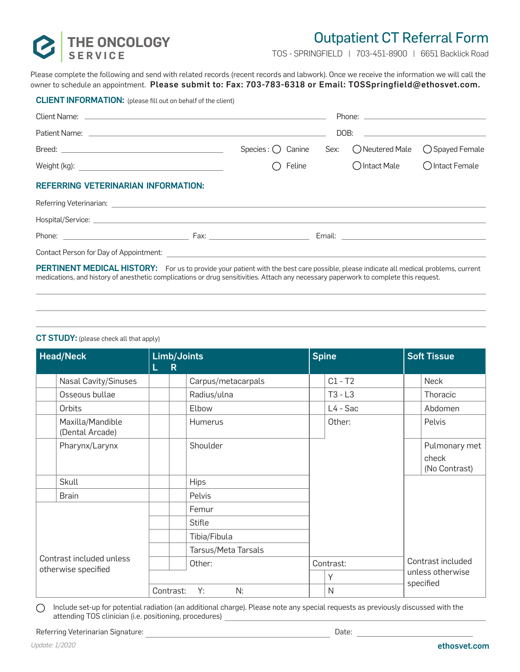

CLIENT INFORMATION: (please fill out on behalf of the client)

## Outpatient CT Referral Form

TOS - SPRINGFIELD | 703-451-8900 | 6651 Backlick Road

Please complete the following and send with related records (recent records and labwork). Once we receive the information we will call the owner to schedule an appointment. Please submit to: Fax: 703-783-6318 or Email: TOSSpringfield@ethosvet.com.

|                                                                                                                                                                                                                                | $Species: \bigcirc$ Canine |  | Sex: CNeutered Male   | ◯ Spayed Female |  |  |
|--------------------------------------------------------------------------------------------------------------------------------------------------------------------------------------------------------------------------------|----------------------------|--|-----------------------|-----------------|--|--|
|                                                                                                                                                                                                                                | Feline                     |  | $\bigcap$ Intact Male | O Intact Female |  |  |
| <b>REFERRING VETERINARIAN INFORMATION:</b>                                                                                                                                                                                     |                            |  |                       |                 |  |  |
| Referring Veterinarian: <u>Communication</u> Contract Communication Communication Communication Communication Communication                                                                                                    |                            |  |                       |                 |  |  |
|                                                                                                                                                                                                                                |                            |  |                       |                 |  |  |
|                                                                                                                                                                                                                                |                            |  |                       |                 |  |  |
| Contact Person for Day of Appointment: [1986] [1986] [1986] [1986] [1986] [1986] [1986] [1986] [1986] [1986] [1986] [1986] [1986] [1986] [1986] [1986] [1986] [1986] [1986] [1986] [1986] [1986] [1986] [1986] [1986] [1986] [ |                            |  |                       |                 |  |  |
| PERTINENT MEDICAL HISTORY: For us to provide your patient with the best care possible, please indicate all medical problems, current                                                                                           |                            |  |                       |                 |  |  |

medications, and history of anesthetic complications or drug sensitivities. Attach any necessary paperwork to complete this request.

## CT STUDY: (please check all that apply)

| <b>Head/Neck</b>                                |                                     | Limb/Joints<br>$\mathsf{R}$<br>L. |                     | <b>Spine</b> |  | <b>Soft Tissue</b>            |  |
|-------------------------------------------------|-------------------------------------|-----------------------------------|---------------------|--------------|--|-------------------------------|--|
|                                                 | <b>Nasal Cavity/Sinuses</b>         |                                   | Carpus/metacarpals  | $C1 - T2$    |  | Neck                          |  |
|                                                 | Osseous bullae                      |                                   | Radius/ulna         | $T3 - L3$    |  | Thoracic                      |  |
|                                                 | Orbits                              |                                   | Elbow               | L4 - Sac     |  | Abdomen                       |  |
|                                                 | Maxilla/Mandible<br>(Dental Arcade) |                                   | Humerus             | Other:       |  | Pelvis                        |  |
|                                                 | Pharynx/Larynx                      |                                   | Shoulder            |              |  | Pulmonary met                 |  |
|                                                 |                                     |                                   |                     |              |  | check<br>(No Contrast)        |  |
|                                                 | Skull                               |                                   | <b>Hips</b>         |              |  |                               |  |
|                                                 | <b>Brain</b>                        |                                   | Pelvis              |              |  |                               |  |
| Contrast included unless<br>otherwise specified |                                     |                                   | Femur               |              |  |                               |  |
|                                                 |                                     |                                   | Stifle              |              |  |                               |  |
|                                                 |                                     |                                   | Tibia/Fibula        |              |  |                               |  |
|                                                 |                                     |                                   | Tarsus/Meta Tarsals |              |  |                               |  |
|                                                 |                                     | Other:                            |                     | Contrast:    |  | Contrast included             |  |
|                                                 |                                     |                                   |                     | Υ            |  | unless otherwise<br>specified |  |
|                                                 |                                     | Contrast:                         | N:<br>Y:            | N            |  |                               |  |

Include set-up for potential radiation (an additional charge). Please note any special requests as previously discussed with the  $\bigcirc$ attending TOS clinician (i.e. positioning, procedures)

Referring Veterinarian Signature: Date: